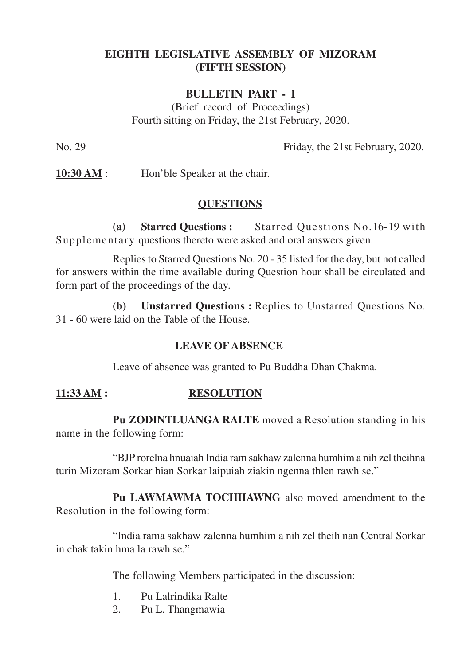# **EIGHTH LEGISLATIVE ASSEMBLY OF MIZORAM (FIFTH SESSION)**

## **BULLETIN PART - I**

(Brief record of Proceedings) Fourth sitting on Friday, the 21st February, 2020.

No. 29 Friday, the 21st February, 2020.

**10:30 AM** : Hon'ble Speaker at the chair.

### **QUESTIONS**

**(a) Starred Questions :** Starred Questions No.16-19 with Supplementary questions thereto were asked and oral answers given.

Replies to Starred Questions No. 20 - 35 listed for the day, but not called for answers within the time available during Question hour shall be circulated and form part of the proceedings of the day.

**(b) Unstarred Questions :** Replies to Unstarred Questions No. 31 - 60 were laid on the Table of the House.

#### **LEAVE OF ABSENCE**

Leave of absence was granted to Pu Buddha Dhan Chakma.

# **11:33 AM : RESOLUTION**

**Pu ZODINTLUANGA RALTE** moved a Resolution standing in his name in the following form:

"BJP rorelna hnuaiah India ram sakhaw zalenna humhim a nih zel theihna turin Mizoram Sorkar hian Sorkar laipuiah ziakin ngenna thlen rawh se."

**Pu LAWMAWMA TOCHHAWNG** also moved amendment to the Resolution in the following form:

"India rama sakhaw zalenna humhim a nih zel theih nan Central Sorkar in chak takin hma la rawh se."

The following Members participated in the discussion:

- 1. Pu Lalrindika Ralte
- 2. Pu L. Thangmawia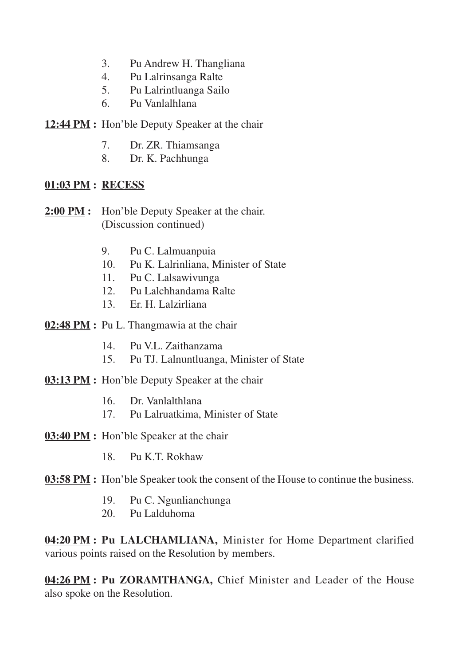- 3. Pu Andrew H. Thangliana
- 4. Pu Lalrinsanga Ralte
- 5. Pu Lalrintluanga Sailo
- 6. Pu Vanlalhlana
- **12:44 PM :** Hon'ble Deputy Speaker at the chair
	- 7. Dr. ZR. Thiamsanga
	- 8. Dr. K. Pachhunga

### **01:03 PM : RECESS**

- **2:00 PM :** Hon'ble Deputy Speaker at the chair. (Discussion continued)
	- 9. Pu C. Lalmuanpuia
	- 10. Pu K. Lalrinliana, Minister of State
	- 11. Pu C. Lalsawivunga
	- 12. Pu Lalchhandama Ralte
	- 13. Er. H. Lalzirliana
- **02:48 PM :** Pu L. Thangmawia at the chair
	- 14. Pu V.L. Zaithanzama
	- 15. Pu TJ. Lalnuntluanga, Minister of State
- **03:13 PM :** Hon'ble Deputy Speaker at the chair
	- 16. Dr. Vanlalthlana
	- 17. Pu Lalruatkima, Minister of State
- **03:40 PM :** Hon'ble Speaker at the chair
	- 18. Pu K.T. Rokhaw
- **03:58 PM :** Hon'ble Speaker took the consent of the House to continue the business.
	- 19. Pu C. Ngunlianchunga
	- 20. Pu Lalduhoma

**04:20 PM : Pu LALCHAMLIANA,** Minister for Home Department clarified various points raised on the Resolution by members.

**04:26 PM : Pu ZORAMTHANGA,** Chief Minister and Leader of the House also spoke on the Resolution.